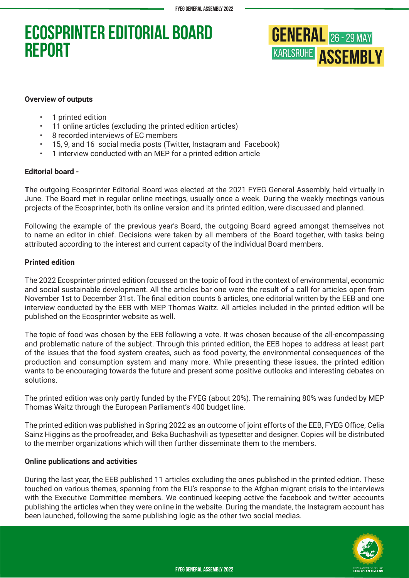# **Ecosprinter Editorial Board Report**



#### **Overview of outputs**

- 1 printed edition
- 11 online articles (excluding the printed edition articles)
- 8 recorded interviews of EC members
- 15, 9, and 16 social media posts (Twitter, Instagram and Facebook)
- 1 interview conducted with an MEP for a printed edition article

### **Editorial board -**

**T**he outgoing Ecosprinter Editorial Board was elected at the 2021 FYEG General Assembly, held virtually in June. The Board met in regular online meetings, usually once a week. During the weekly meetings various projects of the Ecosprinter, both its online version and its printed edition, were discussed and planned.

Following the example of the previous year's Board, the outgoing Board agreed amongst themselves not to name an editor in chief. Decisions were taken by all members of the Board together, with tasks being attributed according to the interest and current capacity of the individual Board members.

### **Printed edition**

The 2022 Ecosprinter printed edition focussed on the topic of food in the context of environmental, economic and social sustainable development. All the articles bar one were the result of a call for articles open from November 1st to December 31st. The final edition counts 6 articles, one editorial written by the EEB and one interview conducted by the EEB with MEP Thomas Waitz. All articles included in the printed edition will be published on the Ecosprinter website as well.

The topic of food was chosen by the EEB following a vote. It was chosen because of the all-encompassing and problematic nature of the subject. Through this printed edition, the EEB hopes to address at least part of the issues that the food system creates, such as food poverty, the environmental consequences of the production and consumption system and many more. While presenting these issues, the printed edition wants to be encouraging towards the future and present some positive outlooks and interesting debates on solutions.

The printed edition was only partly funded by the FYEG (about 20%). The remaining 80% was funded by MEP Thomas Waitz through the European Parliament's 400 budget line.

The printed edition was published in Spring 2022 as an outcome of joint efforts of the EEB, FYEG Office, Celia Sainz Higgins as the proofreader, and Beka Buchashvili as typesetter and designer. Copies will be distributed to the member organizations which will then further disseminate them to the members.

### **Online publications and activities**

During the last year, the EEB published 11 articles excluding the ones published in the printed edition. These touched on various themes, spanning from the EU's response to the Afghan migrant crisis to the interviews with the Executive Committee members. We continued keeping active the facebook and twitter accounts publishing the articles when they were online in the website. During the mandate, the Instagram account has been launched, following the same publishing logic as the other two social medias.